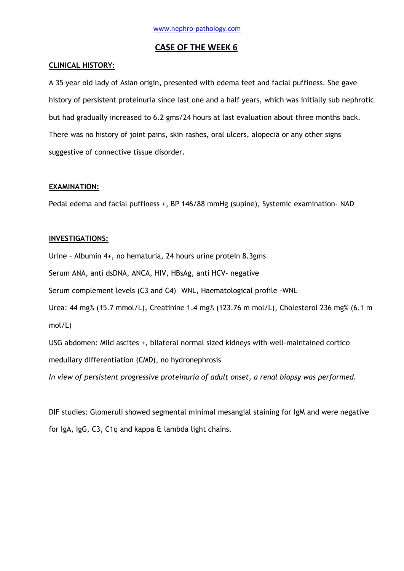### **CASE OF THE WEEK 6**

### **CLINICAL HISTORY:**

A 35 year old lady of Asian origin, presented with edema feet and facial puffiness. She gave history of persistent proteinuria since last one and a half years, which was initially sub nephrotic but had gradually increased to 6.2 gms/24 hours at last evaluation about three months back. There was no history of joint pains, skin rashes, oral ulcers, alopecia or any other signs suggestive of connective tissue disorder.

### **EXAMINATION:**

Pedal edema and facial puffiness +, BP 146/88 mmHg (supine), Systemic examination- NAD

### **INVESTIGATIONS:**

Urine – Albumin 4+, no hematuria, 24 hours urine protein 8.3gms

Serum ANA, anti dsDNA, ANCA, HIV, HBsAg, anti HCV- negative

Serum complement levels (C3 and C4) –WNL, Haematological profile -WNL

Urea: 44 mg% (15.7 mmol/L), Creatinine 1.4 mg% (123.76 m mol/L), Cholesterol 236 mg% (6.1 m mol/L)

USG abdomen: Mild ascites +, bilateral normal sized kidneys with well-maintained cortico medullary differentiation (CMD), no hydronephrosis

*In view of persistent progressive proteinuria of adult onset, a renal biopsy was performed.*

DIF studies: Glomeruli showed segmental minimal mesangial staining for IgM and were negative for IgA, IgG, C3, C1q and kappa & lambda light chains.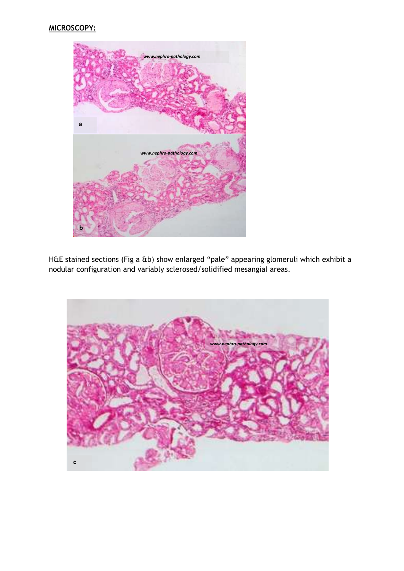# **MICROSCOPY:**



H&E stained sections (Fig a &b) show enlarged "pale" appearing glomeruli which exhibit a nodular configuration and variably sclerosed/solidified mesangial areas.

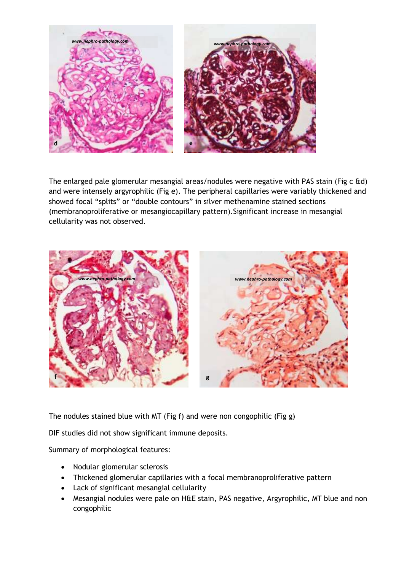

The enlarged pale glomerular mesangial areas/nodules were negative with PAS stain (Fig c &d) and were intensely argyrophilic (Fig e). The peripheral capillaries were variably thickened and showed focal "splits" or "double contours" in silver methenamine stained sections (membranoproliferative or mesangiocapillary pattern).Significant increase in mesangial cellularity was not observed.



The nodules stained blue with MT (Fig f) and were non congophilic (Fig g)

DIF studies did not show significant immune deposits.

Summary of morphological features:

- Nodular glomerular sclerosis
- Thickened glomerular capillaries with a focal membranoproliferative pattern
- Lack of significant mesangial cellularity
- Mesangial nodules were pale on H&E stain, PAS negative, Argyrophilic, MT blue and non congophilic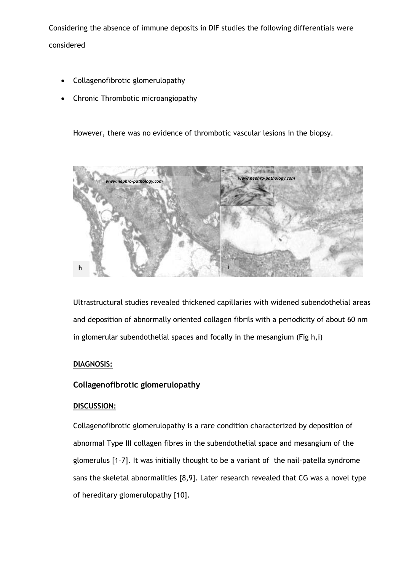Considering the absence of immune deposits in DIF studies the following differentials were considered

- Collagenofibrotic glomerulopathy
- Chronic Thrombotic microangiopathy

However, there was no evidence of thrombotic vascular lesions in the biopsy.



Ultrastructural studies revealed thickened capillaries with widened subendothelial areas and deposition of abnormally oriented collagen fibrils with a periodicity of about 60 nm in glomerular subendothelial spaces and focally in the mesangium (Fig h,i)

## **DIAGNOSIS:**

## **Collagenofibrotic glomerulopathy**

## **DISCUSSION:**

Collagenofibrotic glomerulopathy is a rare condition characterized by deposition of abnormal Type III collagen fibres in the subendothelial space and mesangium of the glomerulus [1–7]. It was initially thought to be a variant of the nail–patella syndrome sans the skeletal abnormalities [8,9]. Later research revealed that CG was a novel type of hereditary glomerulopathy [10].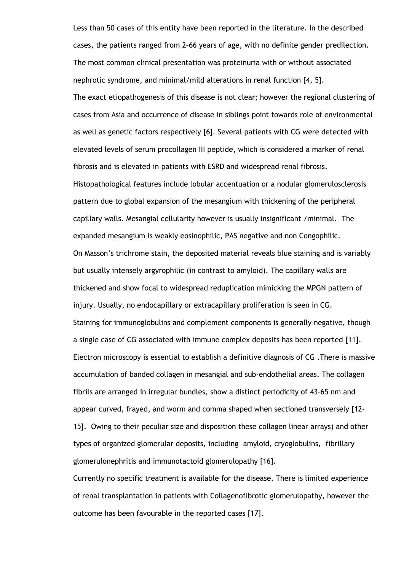Less than 50 cases of this entity have been reported in the literature. In the described cases, the patients ranged from 2–66 years of age, with no definite gender predilection. The most common clinical presentation was proteinuria with or without associated nephrotic syndrome, and minimal/mild alterations in renal function [4, 5]. The exact etiopathogenesis of this disease is not clear; however the regional clustering of cases from Asia and occurrence of disease in siblings point towards role of environmental as well as genetic factors respectively [6]. Several patients with CG were detected with elevated levels of serum procollagen III peptide, which is considered a marker of renal fibrosis and is elevated in patients with ESRD and widespread renal fibrosis. Histopathological features include lobular accentuation or a nodular glomerulosclerosis pattern due to global expansion of the mesangium with thickening of the peripheral capillary walls. Mesangial cellularity however is usually insignificant /minimal. The expanded mesangium is weakly eosinophilic, PAS negative and non Congophilic. On Masson's trichrome stain, the deposited material reveals blue staining and is variably but usually intensely argyrophilic (in contrast to amyloid). The capillary walls are thickened and show focal to widespread reduplication mimicking the MPGN pattern of injury. Usually, no endocapillary or extracapillary proliferation is seen in CG. Staining for immunoglobulins and complement components is generally negative, though a single case of CG associated with immune complex deposits has been reported [11]. Electron microscopy is essential to establish a definitive diagnosis of CG .There is massive accumulation of banded collagen in mesangial and sub-endothelial areas. The collagen fibrils are arranged in irregular bundles, show a distinct periodicity of 43–65 nm and appear curved, frayed, and worm and comma shaped when sectioned transversely [12- 15]. Owing to their peculiar size and disposition these collagen linear arrays) and other types of organized glomerular deposits, including amyloid, cryoglobulins, fibrillary glomerulonephritis and immunotactoid glomerulopathy [16]. Currently no specific treatment is available for the disease. There is limited experience

of renal transplantation in patients with Collagenofibrotic glomerulopathy, however the outcome has been favourable in the reported cases [17].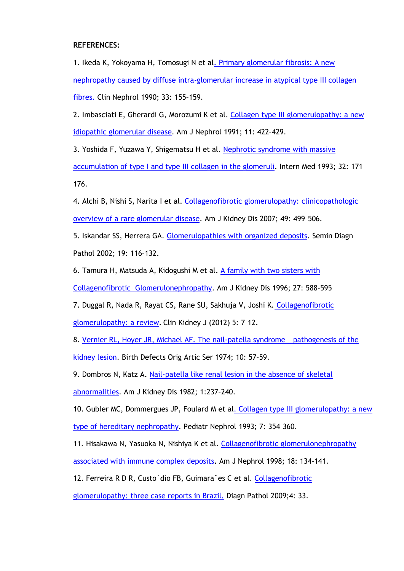**REFERENCES:**

1. Ikeda K, Yokoyama H, Tomosugi N et a[l. Primary glomerular fibrosis: A new](http://www.ncbi.nlm.nih.gov/pubmed?term=Clin%20Nephrol%201990%3B%2033%3A%20155%E2%80%93159)  [nephropathy caused by diffuse intra-glomerular increase in atypical type III collagen](http://www.ncbi.nlm.nih.gov/pubmed?term=Clin%20Nephrol%201990%3B%2033%3A%20155%E2%80%93159)  [fibres.](http://www.ncbi.nlm.nih.gov/pubmed?term=Clin%20Nephrol%201990%3B%2033%3A%20155%E2%80%93159) Clin Nephrol 1990; 33: 155–159.

2. Imbasciati E, Gherardi G, Morozumi K et al. Collagen type III glomerulopathy: a new [idiopathic glomerular disease.](http://www.ncbi.nlm.nih.gov/pubmed?term=%20Am%20J%20Nephrol%201991%3B%2011%3A%20422%E2%80%93429) Am J Nephrol 1991; 11: 422–429.

3. Yoshida F, Yuzawa Y, Shigematsu H et al. [Nephrotic syndrome with massive](http://www.ncbi.nlm.nih.gov/pubmed?term=Intern%20Med%201993%3B%2032%3A%20171%E2%80%93176.)  [accumulation of type I and type III collagen in the glomeruli.](http://www.ncbi.nlm.nih.gov/pubmed?term=Intern%20Med%201993%3B%2032%3A%20171%E2%80%93176.) Intern Med 1993; 32: 171-176.

4. Alchi B, Nishi S, Narita I et al. [Collagenofibrotic glomerulopathy: clinicopathologic](http://www.ncbi.nlm.nih.gov/pubmed?term=Am%20J%20Kidney%20Dis%202007%3B%2049%3A%20499%E2%80%93506)  [overview of a rare glomerular disease.](http://www.ncbi.nlm.nih.gov/pubmed?term=Am%20J%20Kidney%20Dis%202007%3B%2049%3A%20499%E2%80%93506) Am J Kidney Dis 2007; 49: 499–506.

5. Iskandar SS, Herrera GA. [Glomerulopathies with organized deposits.](http://www.ncbi.nlm.nih.gov/pubmed?term=Semin%20Diagn%20Pathol%202002%3B%2019%3A%20116%E2%80%93132.) Semin Diagn Pathol 2002; 19: 116–132.

6. Tamura H, Matsuda A, Kidogushi M et al. [A family with two sisters with](http://www.ncbi.nlm.nih.gov/pubmed?term=Am%20J%20Kidney%20Dis%201996%3B%2027%3A%20588%E2%80%93595) 

[Collagenofibrotic Glomerulonephropathy.](http://www.ncbi.nlm.nih.gov/pubmed?term=Am%20J%20Kidney%20Dis%201996%3B%2027%3A%20588%E2%80%93595) Am J Kidney Dis 1996; 27: 588–595

7. Duggal R, Nada R, Rayat CS, Rane SU, Sakhuja V, Joshi K. [Collagenofibrotic](http://ckj.oxfordjournals.org/content/5/1/7.short?rss=1) 

[glomerulopathy: a review.](http://ckj.oxfordjournals.org/content/5/1/7.short?rss=1) Clin Kidney J (2012) 5: 7–12.

8. [Vernier RL, Hoyer JR, Michael](http://www.ncbi.nlm.nih.gov/pubmed?term=Birth%20Defects%20Orig%20Artic%20Ser%201974%3B%2010%3A%2057%E2%80%9359.) AF. The nail-patella syndrome —pathogenesis of the [kidney lesion.](http://www.ncbi.nlm.nih.gov/pubmed?term=Birth%20Defects%20Orig%20Artic%20Ser%201974%3B%2010%3A%2057%E2%80%9359.) Birth Defects Orig Artic Ser 1974; 10: 57–59.

9. Dombros N, Katz A**.** [Nail-patella like renal lesion in the absence](http://www.ncbi.nlm.nih.gov/pubmed?term=Am%20J%20Kidney%20Dis%201982%3B%201%3A237%E2%80%93240) of skeletal

[abnormalities.](http://www.ncbi.nlm.nih.gov/pubmed?term=Am%20J%20Kidney%20Dis%201982%3B%201%3A237%E2%80%93240) Am J Kidney Dis 1982; 1:237–240.

10. Gubler MC, Dommergues JP, Foulard M et a[l. Collagen type III glomerulopathy: a new](http://www.ncbi.nlm.nih.gov/pubmed?term=Pediatr%20Nephrol%201993%3B%207%3A%20354%E2%80%93360)  [type of hereditary nephropathy.](http://www.ncbi.nlm.nih.gov/pubmed?term=Pediatr%20Nephrol%201993%3B%207%3A%20354%E2%80%93360) Pediatr Nephrol 1993; 7: 354–360.

11. Hisakawa N, Yasuoka N, Nishiya K et al. [Collagenofibrotic glomerulonephropathy](http://www.ncbi.nlm.nih.gov/pubmed?term=Am%20J%20Nephrol%201998%3B%2018%3A%20134%E2%80%93141) [associated with immune complex deposits.](http://www.ncbi.nlm.nih.gov/pubmed?term=Am%20J%20Nephrol%201998%3B%2018%3A%20134%E2%80%93141) Am J Nephrol 1998; 18: 134–141.

12. Ferreira R D R, Custo'dio FB, Guimara<sup>®</sup>es C et al. [Collagenofibrotic](http://www.ncbi.nlm.nih.gov/pubmed?term=Diagn%20Pathol%202009%3B4%3A%2033.)

[glomerulopathy: three case reports in Brazil.](http://www.ncbi.nlm.nih.gov/pubmed?term=Diagn%20Pathol%202009%3B4%3A%2033.) Diagn Pathol 2009;4: 33.